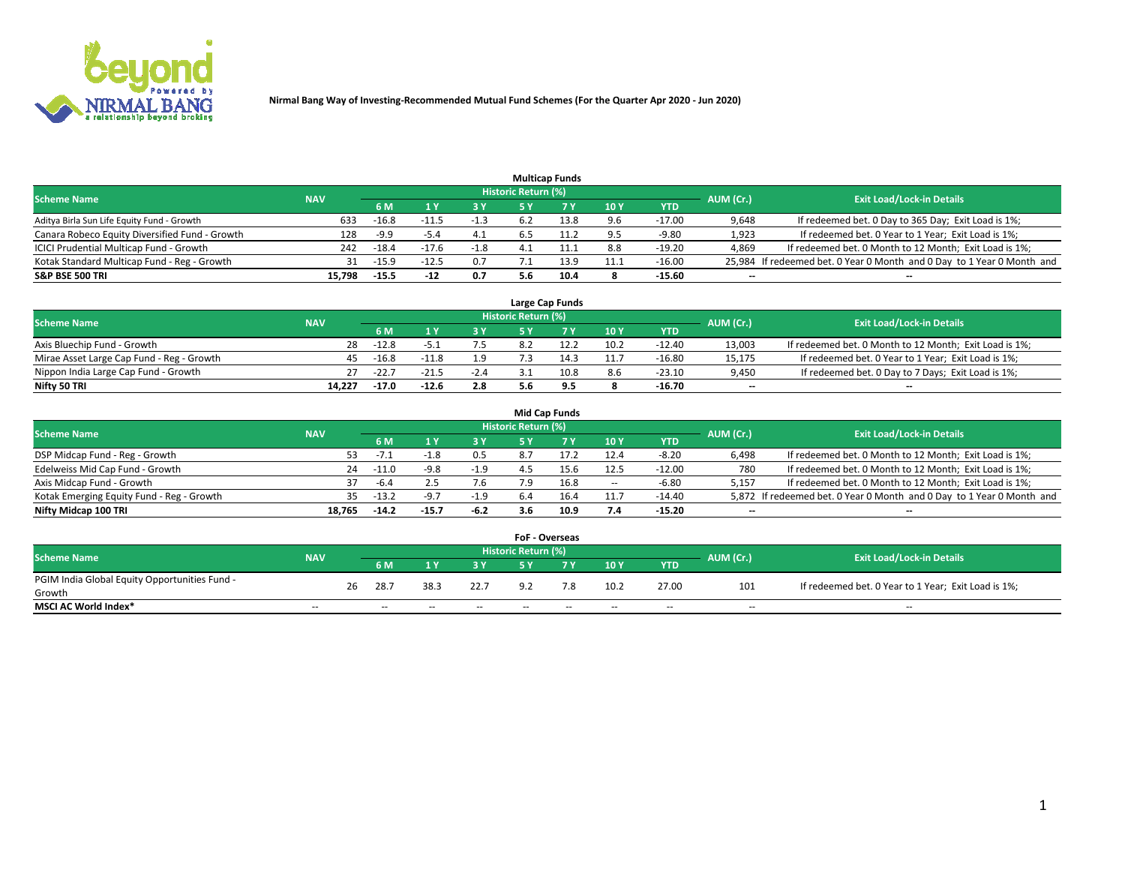

|                                                |            |         |         |        |                     | <b>Multicap Funds</b> |                 |          |                          |                                                                        |
|------------------------------------------------|------------|---------|---------|--------|---------------------|-----------------------|-----------------|----------|--------------------------|------------------------------------------------------------------------|
| <b>Scheme Name</b>                             | <b>NAV</b> |         |         |        | Historic Return (%) |                       |                 |          | AUM (Cr.)                | <b>Exit Load/Lock-in Details</b>                                       |
|                                                |            | 6 M     |         |        |                     |                       | 10 <sub>1</sub> | YTD      |                          |                                                                        |
| Aditya Birla Sun Life Equity Fund - Growth     | 633        | $-16.8$ |         | -1.3   |                     | 13.8                  | 9.6             | $-17.00$ | 9,648                    | If redeemed bet. 0 Day to 365 Day; Exit Load is 1%;                    |
| Canara Robeco Equity Diversified Fund - Growth | 128        | -9.9    | $-5.4$  | 4.1    | 6.5                 | 11.2                  | 9.5             | $-9.80$  | 1,923                    | If redeemed bet. 0 Year to 1 Year; Exit Load is 1%;                    |
| ICICI Prudential Multicap Fund - Growth        | 242        | $-18.4$ | $-17.6$ | $-1.8$ |                     | 11.1                  | 8.8             | $-19.20$ | 4,869                    | If redeemed bet. 0 Month to 12 Month; Exit Load is 1%;                 |
| Kotak Standard Multicap Fund - Reg - Growth    | 31         | $-15.9$ |         | 0.7    |                     | 13.9                  | 11.1            | $-16.00$ |                          | 25,984 If redeemed bet. 0 Year 0 Month and 0 Day to 1 Year 0 Month and |
| <b>S&amp;P BSE 500 TRI</b>                     | 15.798     | $-15.5$ | $-12$   | 0.7    | 5.6                 | 10.4                  | 8               | $-15.60$ | $\overline{\phantom{a}}$ | $\overline{\phantom{a}}$                                               |

|                                           |            |         |         |        |                     | Large Cap Funds |             |          |                          |                                                        |
|-------------------------------------------|------------|---------|---------|--------|---------------------|-----------------|-------------|----------|--------------------------|--------------------------------------------------------|
| <b>Scheme Name</b>                        | <b>NAV</b> |         |         |        | Historic Return (%) |                 |             |          | AUM (Cr.)                | <b>Exit Load/Lock-in Details</b>                       |
|                                           |            | 6 M     |         | 3 Y    |                     |                 | <b>10 Y</b> | YTD      |                          |                                                        |
| Axis Bluechip Fund - Growth               | 28         | $-12.8$ |         |        |                     |                 | 10.2        | $-12.40$ | 13,003                   | If redeemed bet. 0 Month to 12 Month; Exit Load is 1%; |
| Mirae Asset Large Cap Fund - Reg - Growth |            | $-16.8$ | $-11.8$ | 1.9    |                     |                 | 11.7        | $-16.80$ | 15,175                   | If redeemed bet. 0 Year to 1 Year; Exit Load is 1%;    |
| Nippon India Large Cap Fund - Growth      | 27         | $-22.$  | $-21.5$ | $-2.4$ |                     | 10.8            | 8.6         | $-23.10$ | 9,450                    | If redeemed bet. 0 Day to 7 Days; Exit Load is 1%;     |
| Nifty 50 TRI                              | 14.227     | $-17.0$ | $-12.6$ | 2.8    |                     |                 |             | $-16.70$ | $\overline{\phantom{a}}$ | $\overline{\phantom{a}}$                               |

|                                           |            |         |         |        |                     | <b>Mid Cap Funds</b> |        |          |           |                                                                       |
|-------------------------------------------|------------|---------|---------|--------|---------------------|----------------------|--------|----------|-----------|-----------------------------------------------------------------------|
| <b>Scheme Name</b>                        | <b>NAV</b> |         |         |        | Historic Return (%) |                      |        |          | AUM (Cr.) | <b>Exit Load/Lock-in Details</b>                                      |
|                                           |            | 6 M     |         | 3 Y    |                     |                      | 10Y    | YTD      |           |                                                                       |
| DSP Midcap Fund - Reg - Growth            | 53.        | $-1.1$  |         | 0.5    | 8.                  |                      | 12.4   | $-8.20$  | 6,498     | If redeemed bet. 0 Month to 12 Month; Exit Load is 1%;                |
| Edelweiss Mid Cap Fund - Growth           | 24         | $-11.0$ | $-9.8$  | $-1.9$ |                     | 15.6                 | 12.5   | $-12.00$ | 780       | If redeemed bet. 0 Month to 12 Month; Exit Load is 1%;                |
| Axis Midcap Fund - Growth                 | 37         | -6.4    |         | 7.6    | '.9                 | 16.8                 | $\sim$ | $-6.80$  | 5.157     | If redeemed bet. 0 Month to 12 Month; Exit Load is 1%;                |
| Kotak Emerging Equity Fund - Reg - Growth | 35.        | $-13.2$ | -9.7    | $-1.9$ | 6.4                 |                      | 11.7   | $-14.40$ |           | 5,872 If redeemed bet. 0 Year 0 Month and 0 Day to 1 Year 0 Month and |
| Nifty Midcap 100 TRI                      | 18.765     | $-14.2$ | $-15.7$ | -6.2   | 3.6                 | 10.9                 | 7.4    | $-15.20$ | --        | $\overline{\phantom{a}}$                                              |

|                                               |            |    |      |      |      | <b>FoF - Overseas</b>      |     |      |            |           |                                                     |
|-----------------------------------------------|------------|----|------|------|------|----------------------------|-----|------|------------|-----------|-----------------------------------------------------|
| <b>Scheme Name</b>                            | <b>NAV</b> |    |      |      |      | <b>Historic Return (%)</b> |     |      |            | AUM (Cr.) | <b>Exit Load/Lock-in Details</b>                    |
|                                               |            |    | 6 M  |      |      |                            |     | 10Y  | <b>YTD</b> |           |                                                     |
| PGIM India Global Equity Opportunities Fund - |            | 26 | 28.7 | 38.3 | 22.7 | Q <sub>0</sub>             | 7.8 | 10.2 | 27.00      | 101       | If redeemed bet. 0 Year to 1 Year; Exit Load is 1%; |
| Growth                                        |            |    |      |      |      |                            |     |      |            |           |                                                     |
| <b>MSCI AC World Index*</b>                   | $- -$      |    | $-$  | $-$  | $-$  | $- -$                      | --  | $-$  | $-$        | $-$       | $-$                                                 |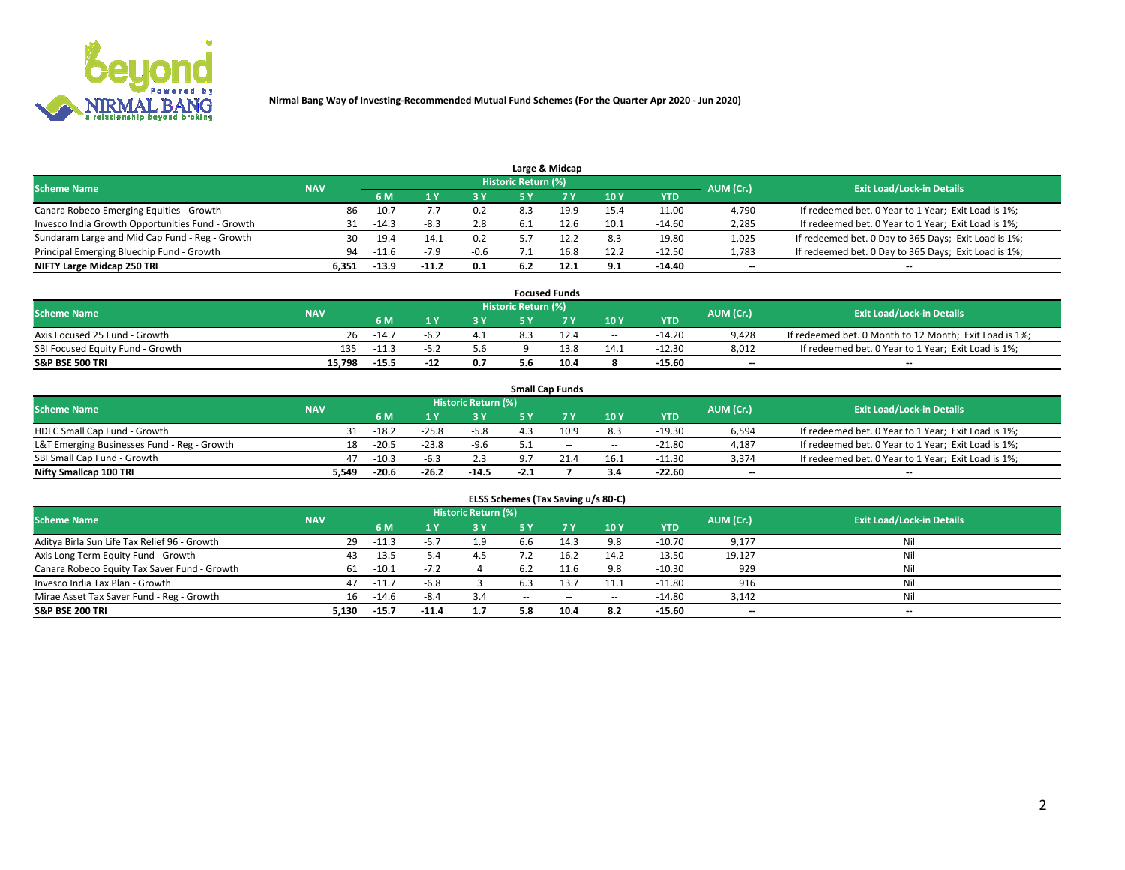

|                                                  |            |                                  |         |        | Large & Midcap |      |            |       |                                                      |
|--------------------------------------------------|------------|----------------------------------|---------|--------|----------------|------|------------|-------|------------------------------------------------------|
| <b>Scheme Name</b>                               | AUM (Cr.)  | <b>Exit Load/Lock-in Details</b> |         |        |                |      |            |       |                                                      |
|                                                  | <b>NAV</b> | 6 M                              |         | 3Y     | <b>7 V</b>     | 10Y  | <b>YTD</b> |       |                                                      |
| Canara Robeco Emerging Equities - Growth         | 86.        | $-10.7$                          |         | 0.2    | 19.9           | 15.4 | $-11.00$   | 4,790 | If redeemed bet. 0 Year to 1 Year; Exit Load is 1%;  |
| Invesco India Growth Opportunities Fund - Growth | 31         | $-14.3$                          | -8.3    | 2.8    |                | 10.1 | $-14.60$   | 2,285 | If redeemed bet. 0 Year to 1 Year; Exit Load is 1%;  |
| Sundaram Large and Mid Cap Fund - Reg - Growth   | 30         | $-19.4$                          | $-14.1$ | 0.2    |                | 8.3  | $-19.80$   | 1,025 | If redeemed bet. 0 Day to 365 Days; Exit Load is 1%; |
| Principal Emerging Bluechip Fund - Growth        | 94         | $-11.6$                          |         | $-0.6$ | 16.8           | 12.2 | $-12.50$   | 1,783 | If redeemed bet. 0 Day to 365 Days; Exit Load is 1%; |
| NIFTY Large Midcap 250 TRI                       | 6.351      | $-13.9$                          | $-11.2$ | 0.1    | 12.1           | 9.1  | $-14.40$   | $- -$ | --                                                   |

|                                  |            |         |      |     |                     | <b>Focused Funds</b> |        |          |           |                                                        |
|----------------------------------|------------|---------|------|-----|---------------------|----------------------|--------|----------|-----------|--------------------------------------------------------|
| <b>Scheme Name</b>               | <b>NAV</b> |         |      |     | Historic Return (%) |                      |        |          | AUM (Cr.) | <b>Exit Load/Lock-in Details</b>                       |
|                                  |            | 6 M     |      | 2 V |                     | ע ל                  | 10Y    | YTD      |           |                                                        |
| Axis Focused 25 Fund - Growth    | 26         | $-14.7$ | -6.∠ |     |                     |                      | $\sim$ | $-14.20$ | 9.428     | If redeemed bet. 0 Month to 12 Month; Exit Load is 1%; |
| SBI Focused Equity Fund - Growth | 135        | $-11.3$ |      | ס.כ |                     |                      | 14.1   | $-12.30$ | 8,012     | If redeemed bet. 0 Year to 1 Year; Exit Load is 1%;    |
| <b>S&amp;P BSE 500 TRI</b>       | 15.798     | $-15.5$ | -14  | 0.7 | 5.6                 | 10.4                 |        | $-15.60$ | $- -$     | $\overline{\phantom{a}}$                               |

|                                             |            |         |           |                                  |        | <b>Small Cap Funds</b> |                          |            |       |                                                     |
|---------------------------------------------|------------|---------|-----------|----------------------------------|--------|------------------------|--------------------------|------------|-------|-----------------------------------------------------|
| <b>Scheme Name</b>                          | <b>NAV</b> |         | AUM (Cr.) | <b>Exit Load/Lock-in Details</b> |        |                        |                          |            |       |                                                     |
|                                             |            | 6 M     |           | <b>3 Y</b>                       | ς γ    |                        | 10Y                      | <b>YTD</b> |       |                                                     |
| HDFC Small Cap Fund - Growth                |            | $-18.2$ | $-25.8$   | $-5.8$                           |        | 10.9                   | 8.3                      | $-19.30$   | 6,594 | If redeemed bet. 0 Year to 1 Year; Exit Load is 1%; |
| L&T Emerging Businesses Fund - Reg - Growth |            | $-20.5$ | $-23.8$   | $-9.6$                           |        | $-$                    | $\overline{\phantom{a}}$ | $-21.80$   | 4,187 | If redeemed bet. 0 Year to 1 Year; Exit Load is 1%; |
| SBI Small Cap Fund - Growth                 | 47         | $-10.3$ | $-6.3$    | 2.3                              | כ ס    |                        | 16.1                     | $-11.30$   | 3,374 | If redeemed bet. 0 Year to 1 Year; Exit Load is 1%; |
| Nifty Smallcap 100 TRI                      | 5.549      | $-20.6$ | $-26.2$   | $-14.5$                          | $-2.1$ |                        | 3.4                      | $-22.60$   | --    | $\overline{\phantom{a}}$                            |

| ELSS Schemes (Tax Saving u/s 80-C)           |            |                                  |         |     |     |      |        |            |        |                          |  |  |  |
|----------------------------------------------|------------|----------------------------------|---------|-----|-----|------|--------|------------|--------|--------------------------|--|--|--|
| <b>Scheme Name</b>                           | AUM (Cr.)  | <b>Exit Load/Lock-in Details</b> |         |     |     |      |        |            |        |                          |  |  |  |
|                                              | <b>NAV</b> | 6 M                              |         | 3 Y |     |      | 10Y    | <b>YTD</b> |        |                          |  |  |  |
| Aditya Birla Sun Life Tax Relief 96 - Growth | 29         | $-11.3$                          |         | 1.9 | b.b | 14.3 | 9.8    | $-10.70$   | 9,177  | Nil                      |  |  |  |
| Axis Long Term Equity Fund - Growth          | 43         | $-13.5$                          | -5.4    | 4.5 |     | 16.2 | 14.2   | $-13.50$   | 19,127 | Nil                      |  |  |  |
| Canara Robeco Equity Tax Saver Fund - Growth | 61         | $-10.1$                          | $-7.2$  |     | 6.2 |      | 9.8    | $-10.30$   | 929    | Nil                      |  |  |  |
| Invesco India Tax Plan - Growth              | 47         | $-11.7$                          | $-6.8$  |     |     | 13.7 | 11.1   | $-11.80$   | 916    | Nil                      |  |  |  |
| Mirae Asset Tax Saver Fund - Reg - Growth    | 16         | $-14.6$                          | -8.4    | 3.4 | --  | $-$  | $\sim$ | $-14.80$   | 3,142  | Nil                      |  |  |  |
| <b>S&amp;P BSE 200 TRI</b>                   | 5.130      | $-15.7$                          | $-11.4$ | 1.7 | 5.8 | 10.4 | 8.2    | $-15.60$   | $- -$  | $\overline{\phantom{a}}$ |  |  |  |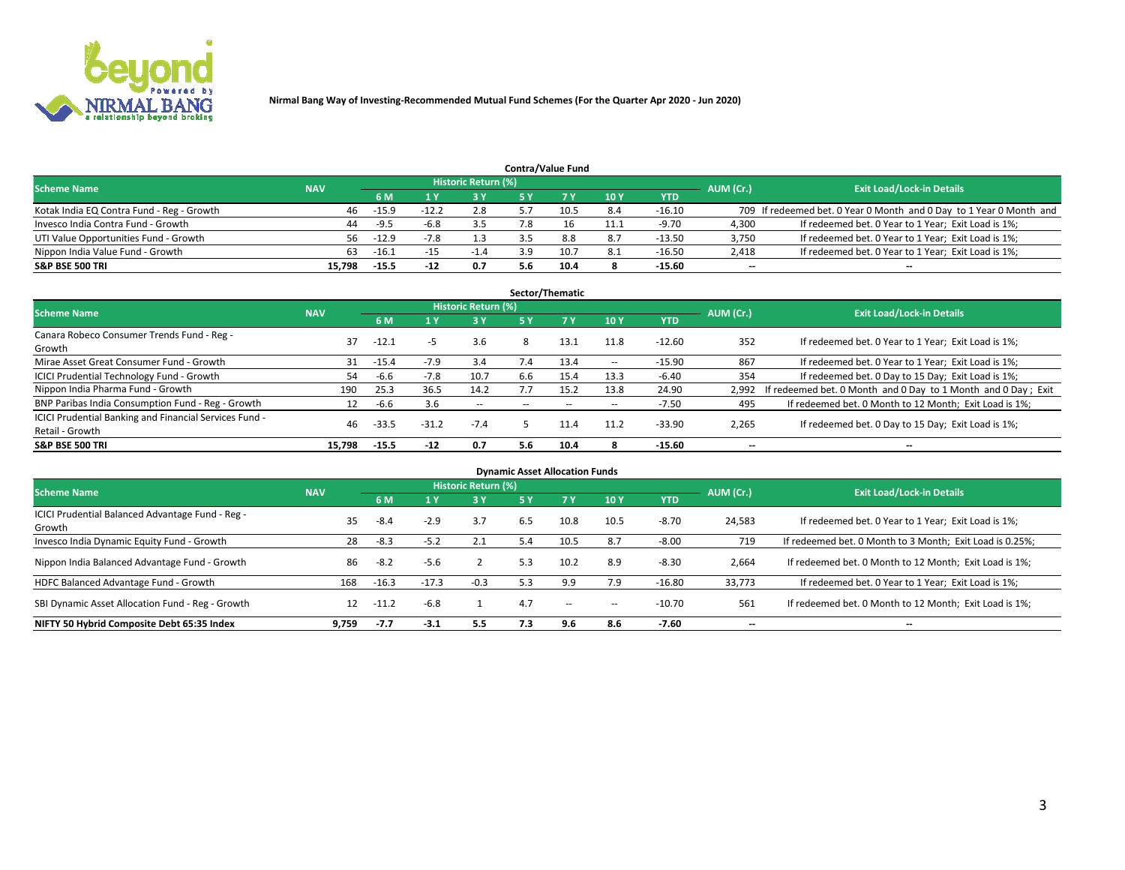

|                                           |            |         |         |                            |     | <b>Contra/Value Fund</b> |     |            |           |                                                                     |
|-------------------------------------------|------------|---------|---------|----------------------------|-----|--------------------------|-----|------------|-----------|---------------------------------------------------------------------|
| <b>Scheme Name</b>                        | <b>NAV</b> |         |         | <b>Historic Return (%)</b> |     |                          |     |            |           | <b>Exit Load/Lock-in Details</b>                                    |
|                                           |            | 6 M     |         | 3 Y                        |     | <b>7 Y</b>               | 10Y | <b>YTD</b> | AUM (Cr.) |                                                                     |
| Kotak India EQ Contra Fund - Reg - Growth | 46         | $-15.9$ | $-12.2$ | 2.8                        |     | 10.5                     | 8.4 | $-16.10$   |           | 709 If redeemed bet. 0 Year 0 Month and 0 Day to 1 Year 0 Month and |
| Invesco India Contra Fund - Growth        | 44         | $-9.5$  | -6.8    |                            | 7.8 | 16                       |     | $-9.70$    | 4.300     | If redeemed bet. 0 Year to 1 Year; Exit Load is 1%;                 |
| UTI Value Opportunities Fund - Growth     | 56         | $-12.9$ |         | 1.3                        |     | 8.8                      | 8.7 | $-13.50$   | 3,750     | If redeemed bet. 0 Year to 1 Year; Exit Load is 1%;                 |
| Nippon India Value Fund - Growth          | 63.        | $-16.1$ |         | $-1.4$                     | 39  | 10.7                     | 8.1 | $-16.50$   | 2,418     | If redeemed bet. 0 Year to 1 Year; Exit Load is 1%;                 |
| <b>S&amp;P BSE 500 TRI</b>                | 15.798     | $-15.5$ | $-12$   | 0.7                        | 5.6 | 10.4                     |     | $-15.60$   | $- -$     | $\overline{\phantom{a}}$                                            |

|                                                        |            |         |         |                     |     | Sector/Thematic |                          |            |                          |                                                               |
|--------------------------------------------------------|------------|---------|---------|---------------------|-----|-----------------|--------------------------|------------|--------------------------|---------------------------------------------------------------|
| <b>Scheme Name</b>                                     | <b>NAV</b> |         |         | Historic Return (%) |     |                 |                          |            | AUM (Cr.)                | <b>Exit Load/Lock-in Details</b>                              |
|                                                        |            | 6 M     |         | 3Y                  | 5 Y | <b>7Y</b>       | 10Y                      | <b>YTD</b> |                          |                                                               |
| Canara Robeco Consumer Trends Fund - Reg -             | 37         | $-12.1$ |         |                     |     | 13.1            |                          | $-12.60$   |                          |                                                               |
| Growth                                                 |            |         | -5      | 3.6                 | 8   |                 | 11.8                     |            | 352                      | If redeemed bet. 0 Year to 1 Year; Exit Load is 1%;           |
| Mirae Asset Great Consumer Fund - Growth               | 31         | $-15.4$ | $-7.9$  | 3.4                 | 7.4 | 13.4            | $\overline{\phantom{a}}$ | $-15.90$   | 867                      | If redeemed bet. 0 Year to 1 Year; Exit Load is 1%;           |
| ICICI Prudential Technology Fund - Growth              | 54         | -6.6    | $-7.8$  | 10.7                | 6.6 | 15.4            | 13.3                     | $-6.40$    | 354                      | If redeemed bet. 0 Day to 15 Day; Exit Load is 1%;            |
| Nippon India Pharma Fund - Growth                      | 190        | 25.3    | 36.5    | 14.2                | 7.7 | 15.2            | 13.8                     | 24.90      | 2,992                    | If redeemed bet. 0 Month and 0 Day to 1 Month and 0 Day; Exit |
| BNP Paribas India Consumption Fund - Reg - Growth      |            | -6.6    | 3.6     | $- -$               |     | $\sim$          | $\overline{\phantom{a}}$ | $-7.50$    | 495                      | If redeemed bet. 0 Month to 12 Month; Exit Load is 1%;        |
| ICICI Prudential Banking and Financial Services Fund - | 46         |         |         | $-7.4$              |     |                 | 11.2                     |            |                          |                                                               |
| Retail - Growth                                        |            | $-33.5$ | $-31.2$ |                     |     |                 |                          | $-33.90$   | 2,265                    | If redeemed bet. 0 Day to 15 Day; Exit Load is 1%;            |
| <b>S&amp;P BSE 500 TRI</b>                             | 15.798     | $-15.5$ | $-12$   | 0.7                 | 5.6 | 10.4            |                          | $-15.60$   | $\overline{\phantom{a}}$ | $\overline{\phantom{a}}$                                      |

| <b>Dynamic Asset Allocation Funds</b>                      |            |         |         |                     |     |        |        |            |                          |                                                          |  |  |  |
|------------------------------------------------------------|------------|---------|---------|---------------------|-----|--------|--------|------------|--------------------------|----------------------------------------------------------|--|--|--|
| <b>Scheme Name</b>                                         | <b>NAV</b> |         |         | Historic Return (%) |     |        |        |            | AUM (Cr.)                | <b>Exit Load/Lock-in Details</b>                         |  |  |  |
|                                                            |            | 6 M     |         | 3 Y                 | 5 Y | 7 Y    | 10Y    | <b>YTD</b> |                          |                                                          |  |  |  |
| ICICI Prudential Balanced Advantage Fund - Reg -<br>Growth | 35         | $-8.4$  | $-2.9$  | 3.7                 | 6.5 | 10.8   | 10.5   | $-8.70$    | 24,583                   | If redeemed bet. 0 Year to 1 Year; Exit Load is 1%;      |  |  |  |
| Invesco India Dynamic Equity Fund - Growth                 | 28         | -8.3    | $-5.2$  | 2.1                 | 5.4 | 10.5   | 8.7    | $-8.00$    | 719                      | If redeemed bet. 0 Month to 3 Month; Exit Load is 0.25%; |  |  |  |
| Nippon India Balanced Advantage Fund - Growth              | 86         | -8.2    | $-5.6$  |                     | 5.3 | 10.2   | 8.9    | $-8.30$    | 2,664                    | If redeemed bet. 0 Month to 12 Month; Exit Load is 1%;   |  |  |  |
| HDFC Balanced Advantage Fund - Growth                      | 168        | $-16.3$ | $-17.3$ | $-0.3$              | 5.3 | 9.9    | 7.9    | $-16.80$   | 33.773                   | If redeemed bet. 0 Year to 1 Year; Exit Load is 1%;      |  |  |  |
| SBI Dynamic Asset Allocation Fund - Reg - Growth           | 12         | $-11.2$ | $-6.8$  |                     | 4.7 | $\sim$ | $\sim$ | $-10.70$   | 561                      | If redeemed bet. 0 Month to 12 Month; Exit Load is 1%;   |  |  |  |
| NIFTY 50 Hybrid Composite Debt 65:35 Index                 | 9.759      | $-7.7$  | $-3.1$  | 5.5                 | 7.3 | 9.6    | 8.6    | $-7.60$    | $\overline{\phantom{a}}$ | $\overline{\phantom{a}}$                                 |  |  |  |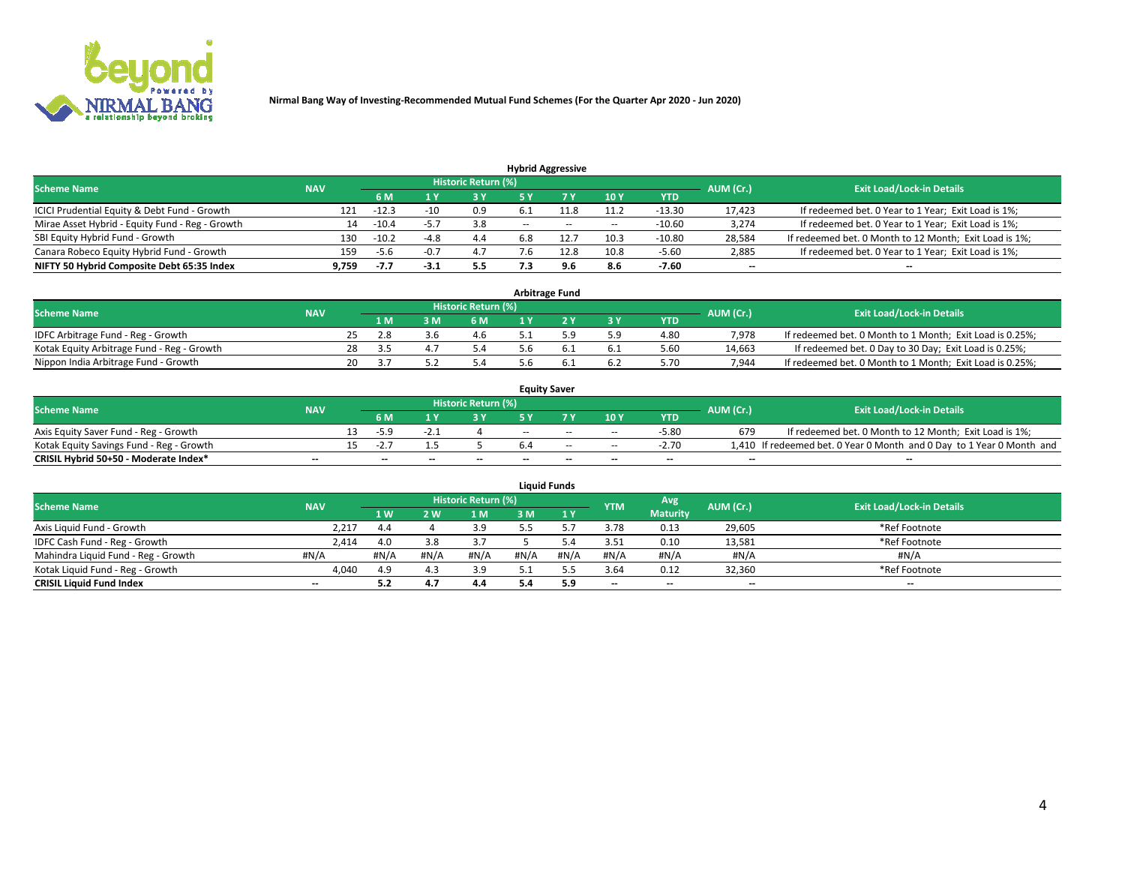

| <b>Hybrid Aggressive</b>                        |            |                                  |        |     |        |      |       |          |        |                                                        |  |  |  |  |
|-------------------------------------------------|------------|----------------------------------|--------|-----|--------|------|-------|----------|--------|--------------------------------------------------------|--|--|--|--|
| <b>Scheme Name</b>                              | AUM (Cr.)  | <b>Exit Load/Lock-in Details</b> |        |     |        |      |       |          |        |                                                        |  |  |  |  |
|                                                 | <b>NAV</b> | 6 M                              |        | 3 Y |        |      | 10Y   | YTD      |        |                                                        |  |  |  |  |
| ICICI Prudential Equity & Debt Fund - Growth    | 121        | $-12.3$                          | $-10$  | 0.9 |        |      | 11.2  | $-13.30$ | 17,423 | If redeemed bet. 0 Year to 1 Year; Exit Load is 1%;    |  |  |  |  |
| Mirae Asset Hybrid - Equity Fund - Reg - Growth | 14         | $-10.4$                          | -5.,   | 3.8 | $\sim$ | $-$  | $- -$ | $-10.60$ | 3,274  | If redeemed bet. 0 Year to 1 Year; Exit Load is 1%;    |  |  |  |  |
| SBI Equity Hybrid Fund - Growth                 | 130        | $-10.2$                          | $-4.8$ | 4.4 | 6.8    |      | 10.3  | $-10.80$ | 28,584 | If redeemed bet. 0 Month to 12 Month; Exit Load is 1%; |  |  |  |  |
| Canara Robeco Equity Hybrid Fund - Growth       | 159        | -5.6                             | $-0$ . | 4.7 |        | 12.8 | 10.8  | $-5.60$  | 2,885  | If redeemed bet. 0 Year to 1 Year; Exit Load is 1%;    |  |  |  |  |
| NIFTY 50 Hybrid Composite Debt 65:35 Index      | 9,759      | -7.7                             | $-3.1$ | 5.5 |        |      | 8.6   | $-7.60$  | $- -$  | $\overline{\phantom{a}}$                               |  |  |  |  |

| <b>Arbitrage Fund</b>                      |            |     |     |     |                            |     |  |     |            |                                  |                                                          |  |  |
|--------------------------------------------|------------|-----|-----|-----|----------------------------|-----|--|-----|------------|----------------------------------|----------------------------------------------------------|--|--|
| <b>Scheme Name</b>                         | <b>NAV</b> |     |     |     | <b>Historic Return (%)</b> |     |  |     | AUM (Cr.)  | <b>Exit Load/Lock-in Details</b> |                                                          |  |  |
|                                            |            |     | 1 M | 3 M | 6 M                        |     |  | '3V | <b>YTD</b> |                                  |                                                          |  |  |
| IDFC Arbitrage Fund - Reg - Growth         |            |     | 2.8 |     | 4.6                        |     |  | 5.9 | 4.80       | 7.978                            | If redeemed bet. 0 Month to 1 Month; Exit Load is 0.25%; |  |  |
| Kotak Equity Arbitrage Fund - Reg - Growth |            | 28  | -35 |     | 5.4                        | .b  |  | 6.1 | 5.60       | 14.663                           | If redeemed bet. 0 Day to 30 Day; Exit Load is 0.25%;    |  |  |
| Nippon India Arbitrage Fund - Growth       |            | 20. |     |     | 5.4                        | 5 h |  | 6.2 | 5.70       | 7.944                            | If redeemed bet. 0 Month to 1 Month; Exit Load is 0.25%; |  |  |

| <b>Equity Saver</b>                      |            |  |                          |    |                     |     |                          |                          |                          |           |                                                                       |  |
|------------------------------------------|------------|--|--------------------------|----|---------------------|-----|--------------------------|--------------------------|--------------------------|-----------|-----------------------------------------------------------------------|--|
| <b>Scheme Name</b>                       | <b>NAV</b> |  |                          |    | Historic Return (%) |     |                          |                          |                          | AUM (Cr.) | <b>Exit Load/Lock-in Details</b>                                      |  |
|                                          |            |  | 6 M                      |    | 3 Y                 |     |                          | 10Y                      | <b>YTD</b>               |           |                                                                       |  |
| Axis Equity Saver Fund - Reg - Growth    |            |  | -5.9                     |    |                     | $-$ | $-$                      | $\sim$                   | $-5.80$                  | 679       | If redeemed bet. 0 Month to 12 Month; Exit Load is 1%;                |  |
| Kotak Equity Savings Fund - Reg - Growth |            |  |                          |    |                     |     | $-$                      | $\sim$                   | $-2.70$                  |           | 1,410 If redeemed bet. 0 Year 0 Month and 0 Day to 1 Year 0 Month and |  |
| CRISIL Hybrid 50+50 - Moderate Index*    | $- -$      |  | $\overline{\phantom{a}}$ | -- | $- -$               | $-$ | $\overline{\phantom{a}}$ | $\overline{\phantom{a}}$ | $\overline{\phantom{a}}$ | $- -$     | $\overline{\phantom{a}}$                                              |  |

| <b>Liquid Funds</b>                 |                          |      |      |                     |      |      |                          |                 |           |                                  |  |  |
|-------------------------------------|--------------------------|------|------|---------------------|------|------|--------------------------|-----------------|-----------|----------------------------------|--|--|
| <b>Scheme Name</b>                  | <b>NAV</b>               |      |      | Historic Return (%) |      |      | <b>YTM</b>               | Avg             | AUM (Cr.) | <b>Exit Load/Lock-in Details</b> |  |  |
|                                     |                          | 1 W  | 2W   | 1 M                 | 3 M  | 1 Y  |                          | <b>Maturity</b> |           |                                  |  |  |
| Axis Liquid Fund - Growth           | 2.217                    | 4.4  |      | 3.9                 |      |      | 3.78                     | 0.13            | 29,605    | *Ref Footnote                    |  |  |
| IDFC Cash Fund - Reg - Growth       | 2,414                    | 4.0  |      | 3.7                 |      |      | 3.51                     | 0.10            | 13,581    | *Ref Footnote                    |  |  |
| Mahindra Liquid Fund - Reg - Growth | #N/A                     | #N/A | #N/A | #N/A                | #N/A | #N/A | #N/A                     | #N/A            | #N/A      | #N/A                             |  |  |
| Kotak Liquid Fund - Reg - Growth    | 4,040                    | 4.9  | 4.3  | 3.9                 |      |      | 3.64                     | 0.12            | 32,360    | *Ref Footnote                    |  |  |
| <b>CRISIL Liquid Fund Index</b>     | $\overline{\phantom{a}}$ | 5.2  | 4.7  | 4.4                 | 5.4  | 5.9  | $\overline{\phantom{a}}$ | $- -$           | $- -$     | $- -$                            |  |  |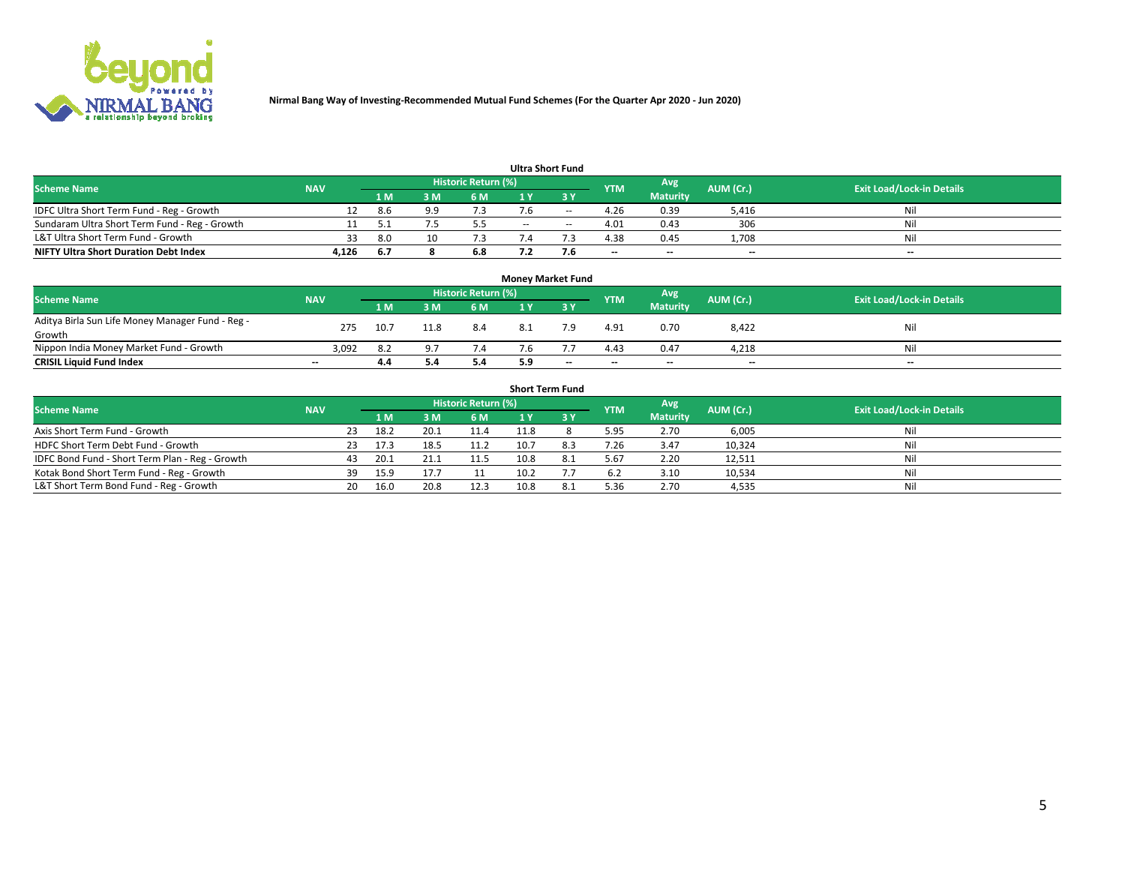

| <b>Scheme Name</b>                            | <b>NAV</b> | <b>Historic Return (%)</b> |     |     |        |        |            | Avg                      | AUM (Cr.)                | <b>Exit Load/Lock-in Details</b> |
|-----------------------------------------------|------------|----------------------------|-----|-----|--------|--------|------------|--------------------------|--------------------------|----------------------------------|
|                                               |            | '1 M                       | 3 M | 6 M |        |        | <b>YTM</b> | <b>Maturity</b>          |                          |                                  |
| IDFC Ultra Short Term Fund - Reg - Growth     |            | 8.6                        | a a | ۹.  |        | $-$    | 4.26       | 0.39                     | 5,416                    | Nil                              |
| Sundaram Ultra Short Term Fund - Reg - Growth |            |                            |     | 5.5 | $\sim$ | $\sim$ | 4.01       | 0.43                     | 306                      | Nil                              |
| L&T Ultra Short Term Fund - Growth            |            | 8.0                        |     |     |        |        | 4.38       | 0.45                     | 1.708                    | Nil                              |
| <b>NIFTY Ultra Short Duration Debt Index</b>  | 4.126      | 6.7                        |     | 6.8 |        |        | $-$        | $\overline{\phantom{a}}$ | $\overline{\phantom{a}}$ | $\overline{\phantom{a}}$         |

| <b>Money Market Fund</b>                         |            |      |                |                     |     |      |            |                 |           |                                  |  |  |
|--------------------------------------------------|------------|------|----------------|---------------------|-----|------|------------|-----------------|-----------|----------------------------------|--|--|
| <b>Scheme Name</b>                               | <b>NAV</b> |      |                | Historic Return (%) |     |      | <b>YTM</b> | <b>Avg</b>      | AUM (Cr.) | <b>Exit Load/Lock-in Details</b> |  |  |
|                                                  |            | 1 M  | ៵៳             | 6 M                 |     | -3 Y |            | <b>Maturity</b> |           |                                  |  |  |
| Aditya Birla Sun Life Money Manager Fund - Reg - | 275        | 10.7 | 11.8           | -8.4                |     | 7.9  | 4.91       | 0.70            | 8,422     | Nil                              |  |  |
| Growth                                           |            |      |                |                     |     |      |            |                 |           |                                  |  |  |
| Nippon India Money Market Fund - Growth          | 3,092      | 8.2  | Q <sub>7</sub> | 7.4                 | 7.6 |      | 4.43       | 0.47            | 4.218     | Nil                              |  |  |
| <b>CRISIL Liquid Fund Index</b>                  | $-$        | 4.4  |                | 5.4                 | 5.9 | $-$  | $-$        | $-$             | $- -$     | $- -$                            |  |  |

| <b>Short Term Fund</b>                          |            |     |      |      |                     |      |     |            |                 |           |                                  |
|-------------------------------------------------|------------|-----|------|------|---------------------|------|-----|------------|-----------------|-----------|----------------------------------|
| <b>Scheme Name</b>                              | <b>NAV</b> |     |      |      | Historic Return (%) |      |     | <b>YTM</b> | Avg             | AUM (Cr.) | <b>Exit Load/Lock-in Details</b> |
|                                                 |            |     | 1 M. | ጻ M  | 6 M                 |      | 3 Y |            | <b>Maturity</b> |           |                                  |
| Axis Short Term Fund - Growth                   |            | 23  | 18.2 | 20.1 | 11.4                | 11.8 |     | 5.95       | 2.70            | 6,005     | Nil                              |
| HDFC Short Term Debt Fund - Growth              |            | 23. | 17.3 | 18.5 | 11.2                | 10.7 |     | 7.26       | 3.47            | 10,324    | Nil                              |
| IDFC Bond Fund - Short Term Plan - Reg - Growth |            | 43  | 20.1 |      | 11.5                | 10.8 |     | 5.67       | 2.20            | 12,511    | Nil                              |
| Kotak Bond Short Term Fund - Reg - Growth       |            | 39  | 15.9 | 17.7 |                     | 10.2 |     | 6.2        | 3.10            | 10,534    | Nil                              |
| L&T Short Term Bond Fund - Reg - Growth         |            | 20  | 16.0 | 20.8 | 12.3                | 10.8 |     | 5.36       | 2.70            | 4,535     | Nil                              |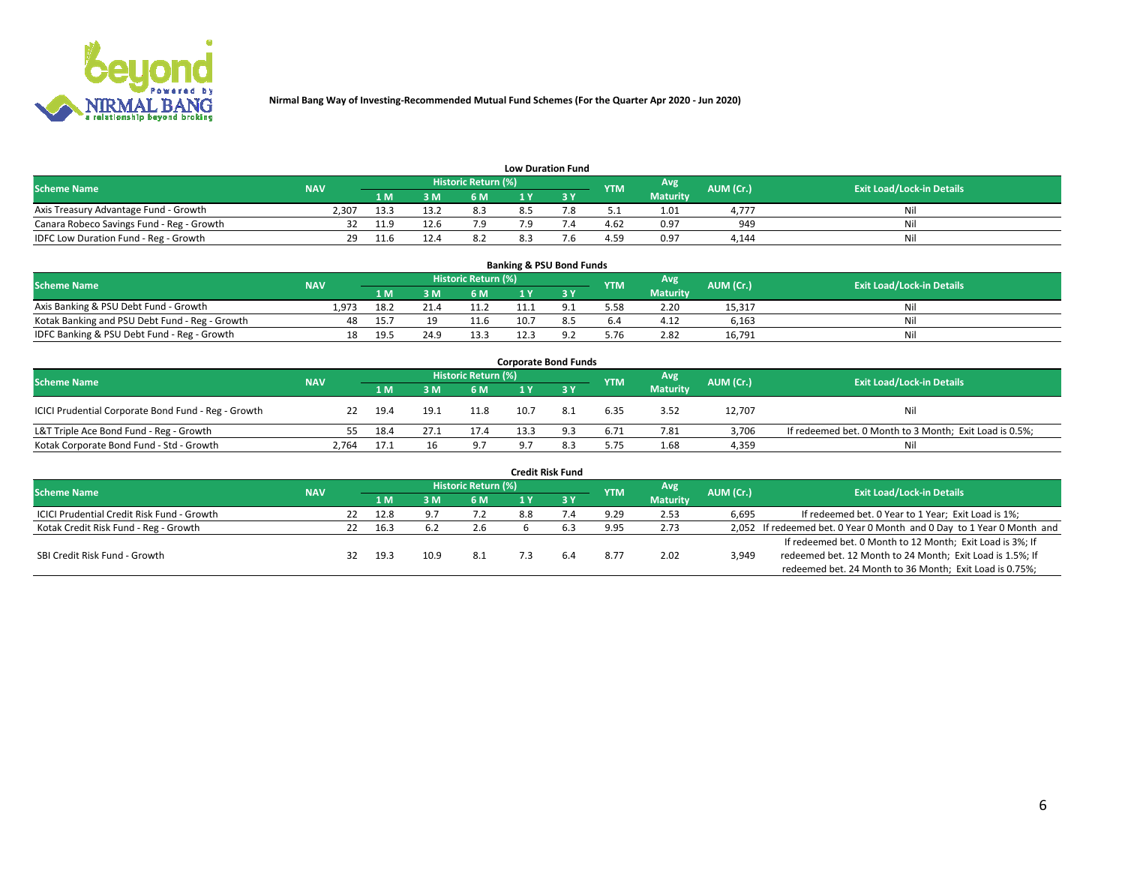

| <b>Low Duration Fund</b> |
|--------------------------|
|--------------------------|

|                                           |            |      |      |                      | __ _ _ _ _ _ _ _ _ _ _ _ _ _ _ |   |            |                 |           |                                  |
|-------------------------------------------|------------|------|------|----------------------|--------------------------------|---|------------|-----------------|-----------|----------------------------------|
| <b>Scheme Name</b>                        | <b>NAV</b> |      |      | Historic Return (%)' |                                |   | <b>YTM</b> | <b>Avg</b>      | AUM (Cr.) | <b>Exit Load/Lock-in Details</b> |
|                                           |            | 1 M  | 2M   | 6 M                  | $\overline{u}$                 | . |            | <b>Maturity</b> |           |                                  |
| Axis Treasury Advantage Fund - Growth     | 2.307      | 13.3 |      |                      |                                |   |            | 1.01            | 1.777     | Nil                              |
| Canara Robeco Savings Fund - Reg - Growth |            |      | 12.6 | 70                   |                                |   | 4.62       | 0.97            | 949       | Nil                              |
| IDFC Low Duration Fund - Reg - Growth     |            |      |      |                      |                                |   | 4.59       | 0.97            | 4.144     | Nil                              |

| <b>Banking &amp; PSU Bond Funds</b>            |            |      |      |                            |      |  |            |                 |           |                                  |  |
|------------------------------------------------|------------|------|------|----------------------------|------|--|------------|-----------------|-----------|----------------------------------|--|
| <b>Scheme Name</b>                             | <b>NAV</b> |      |      | <b>Historic Return (%)</b> |      |  | <b>YTM</b> | Avg             | AUM (Cr.) | <b>Exit Load/Lock-in Details</b> |  |
|                                                |            | 1 M  | ЗM   | 6 M                        |      |  |            | <b>Maturity</b> |           |                                  |  |
| Axis Banking & PSU Debt Fund - Growth          | 1.973      | 18.2 | 21.4 | 11.2                       |      |  | 5.58       | 2.20            | 15,317    | Nil                              |  |
| Kotak Banking and PSU Debt Fund - Reg - Growth | 48         | 15.7 |      | 11.6                       | 10.7 |  | 6.4        | 4.12            | 6.163     | Nil                              |  |
| IDFC Banking & PSU Debt Fund - Reg - Growth    | 18         | 19.5 | 24.9 | 13.3                       |      |  | 5.76       | 2.82            | 16,791    | Nil                              |  |

| <b>Corporate Bond Funds</b>                         |            |      |      |                     |    |     |            |                 |           |                                                         |  |  |
|-----------------------------------------------------|------------|------|------|---------------------|----|-----|------------|-----------------|-----------|---------------------------------------------------------|--|--|
| <b>Scheme Name</b>                                  | <b>NAV</b> |      |      | Historic Return (%) |    |     | <b>YTM</b> | Avg             | AUM (Cr.) | <b>Exit Load/Lock-in Details</b>                        |  |  |
|                                                     |            | 1 M. | 3 M  | 6 M                 |    | 3 Y |            | <b>Maturity</b> |           |                                                         |  |  |
| ICICI Prudential Corporate Bond Fund - Reg - Growth | 22.        | 19.4 | 19.1 | 11.8                |    | 8.1 | 6.35       | 3.52            | 12,707    | Nil                                                     |  |  |
| L&T Triple Ace Bond Fund - Reg - Growth             | 55.        | 18.4 | 27.1 | 17.4                |    |     | 6.71       | 7.81            | 3.706     | If redeemed bet. 0 Month to 3 Month; Exit Load is 0.5%; |  |  |
| Kotak Corporate Bond Fund - Std - Growth            | 2,764      | 17.1 | 16   | 9.7                 | o. | 8.3 | 5.75       | 1.68            | 4,359     | Nil                                                     |  |  |

|                                            |            |    |      |      |                            |     | <b>Credit Risk Fund</b> |            |                 |           |                                                                       |
|--------------------------------------------|------------|----|------|------|----------------------------|-----|-------------------------|------------|-----------------|-----------|-----------------------------------------------------------------------|
| <b>Scheme Name</b>                         | <b>NAV</b> |    |      |      | <b>Historic Return (%)</b> |     |                         | <b>YTM</b> | Avg             | AUM (Cr.) | <b>Exit Load/Lock-in Details</b>                                      |
|                                            |            |    | 1 M  | 3 M  | 6 M                        |     | 3 Y                     |            | <b>Maturity</b> |           |                                                                       |
| ICICI Prudential Credit Risk Fund - Growth |            | 22 | 12.8 |      | 7.2                        | 8.8 |                         | 9.29       | 2.53            | 6,695     | If redeemed bet. 0 Year to 1 Year; Exit Load is 1%;                   |
| Kotak Credit Risk Fund - Reg - Growth      |            | 22 | 16.3 | 6.2  | 2.6                        |     |                         | 9.95       | 2.73            |           | 2,052 If redeemed bet. 0 Year 0 Month and 0 Day to 1 Year 0 Month and |
|                                            |            |    |      |      |                            |     |                         |            |                 |           | If redeemed bet. 0 Month to 12 Month; Exit Load is 3%; If             |
| SBI Credit Risk Fund - Growth              |            | 32 | 19.3 | 10.9 | 8.1                        |     |                         | 8.77       | 2.02            | 3,949     | redeemed bet. 12 Month to 24 Month; Exit Load is 1.5%; If             |
|                                            |            |    |      |      |                            |     |                         |            |                 |           | redeemed bet. 24 Month to 36 Month; Exit Load is 0.75%;               |